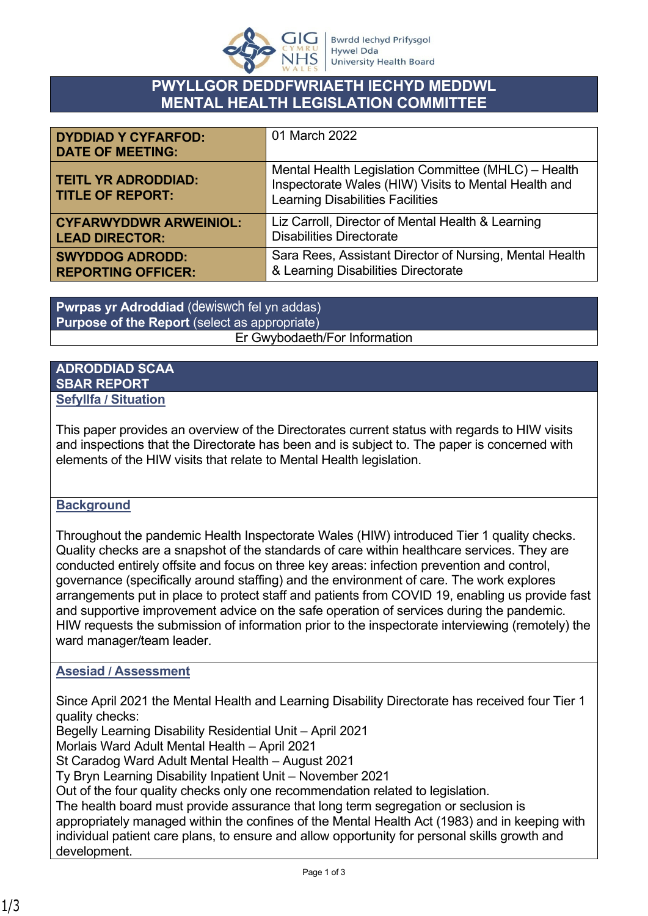

## **PWYLLGOR DEDDFWRIAETH IECHYD MEDDWL MENTAL HEALTH LEGISLATION COMMITTEE**

| <b>DYDDIAD Y CYFARFOD:</b><br><b>DATE OF MEETING:</b> | 01 March 2022                                                                                                                                          |
|-------------------------------------------------------|--------------------------------------------------------------------------------------------------------------------------------------------------------|
| <b>TEITL YR ADRODDIAD:</b><br><b>TITLE OF REPORT:</b> | Mental Health Legislation Committee (MHLC) - Health<br>Inspectorate Wales (HIW) Visits to Mental Health and<br><b>Learning Disabilities Facilities</b> |
| <b>CYFARWYDDWR ARWEINIOL:</b>                         | Liz Carroll, Director of Mental Health & Learning                                                                                                      |
| <b>LEAD DIRECTOR:</b>                                 | <b>Disabilities Directorate</b>                                                                                                                        |
| <b>SWYDDOG ADRODD:</b>                                | Sara Rees, Assistant Director of Nursing, Mental Health                                                                                                |
| <b>REPORTING OFFICER:</b>                             | & Learning Disabilities Directorate                                                                                                                    |

**Pwrpas yr Adroddiad** (dewiswch fel yn addas) **Purpose of the Report** (select as appropriate) Er Gwybodaeth/For Information

## **ADRODDIAD SCAA SBAR REPORT Sefyllfa / Situation**

This paper provides an overview of the Directorates current status with regards to HIW visits and inspections that the Directorate has been and is subject to. The paper is concerned with elements of the HIW visits that relate to Mental Health legislation.

## **Background**

Throughout the pandemic Health Inspectorate Wales (HIW) introduced Tier 1 quality checks. Quality checks are a snapshot of the standards of care within healthcare services. They are conducted entirely offsite and focus on three key areas: infection prevention and control, governance (specifically around staffing) and the environment of care. The work explores arrangements put in place to protect staff and patients from COVID 19, enabling us provide fast and supportive improvement advice on the safe operation of services during the pandemic. HIW requests the submission of information prior to the inspectorate interviewing (remotely) the ward manager/team leader.

## **Asesiad / Assessment**

Since April 2021 the Mental Health and Learning Disability Directorate has received four Tier 1 quality checks:

Begelly Learning Disability Residential Unit – April 2021

Morlais Ward Adult Mental Health – April 2021

St Caradog Ward Adult Mental Health – August 2021

Ty Bryn Learning Disability Inpatient Unit – November 2021

Out of the four quality checks only one recommendation related to legislation.

The health board must provide assurance that long term segregation or seclusion is appropriately managed within the confines of the Mental Health Act (1983) and in keeping with individual patient care plans, to ensure and allow opportunity for personal skills growth and development.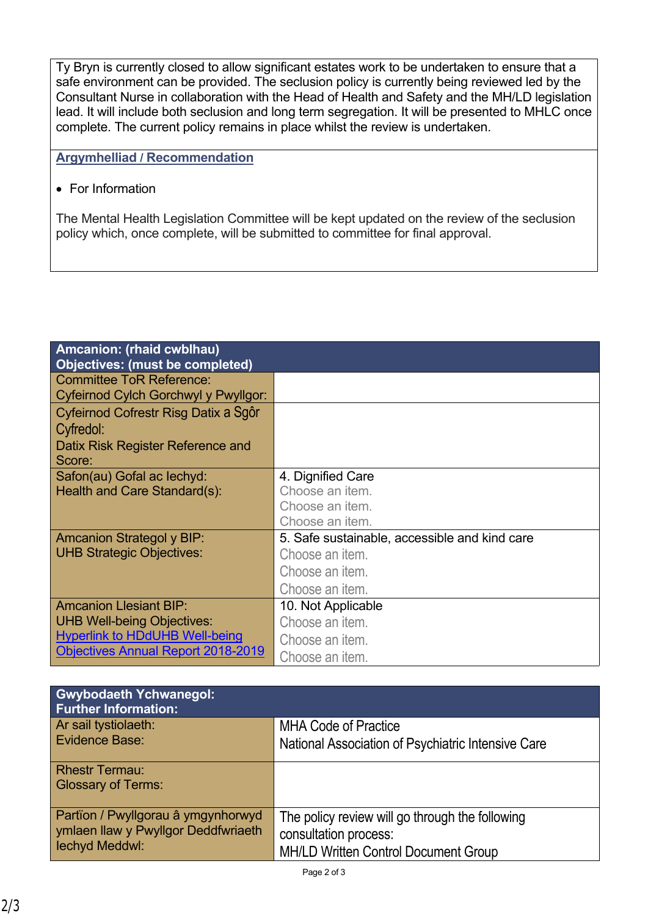Ty Bryn is currently closed to allow significant estates work to be undertaken to ensure that a safe environment can be provided. The seclusion policy is currently being reviewed led by the Consultant Nurse in collaboration with the Head of Health and Safety and the MH/LD legislation lead. It will include both seclusion and long term segregation. It will be presented to MHLC once complete. The current policy remains in place whilst the review is undertaken.

**Argymhelliad / Recommendation**

• For Information

The Mental Health Legislation Committee will be kept updated on the review of the seclusion policy which, once complete, will be submitted to committee for final approval.

| Amcanion: (rhaid cwblhau)<br><b>Objectives: (must be completed)</b> |                                               |
|---------------------------------------------------------------------|-----------------------------------------------|
| <b>Committee ToR Reference:</b>                                     |                                               |
| Cyfeirnod Cylch Gorchwyl y Pwyllgor:                                |                                               |
| Cyfeirnod Cofrestr Risg Datix a Sgôr                                |                                               |
| Cyfredol:                                                           |                                               |
| Datix Risk Register Reference and                                   |                                               |
| Score:                                                              |                                               |
| Safon(au) Gofal ac lechyd:                                          | 4. Dignified Care                             |
| Health and Care Standard(s):                                        | Choose an item.                               |
|                                                                     | Choose an item.                               |
|                                                                     | Choose an item.                               |
| <b>Amcanion Strategol y BIP:</b>                                    | 5. Safe sustainable, accessible and kind care |
| <b>UHB Strategic Objectives:</b>                                    | Choose an item.                               |
|                                                                     | Choose an item.                               |
|                                                                     | Choose an item.                               |
| <b>Amcanion Llesiant BIP:</b>                                       | 10. Not Applicable                            |
| <b>UHB Well-being Objectives:</b>                                   | Choose an item.                               |
| <b>Hyperlink to HDdUHB Well-being</b>                               | Choose an item.                               |
| <b>Objectives Annual Report 2018-2019</b>                           | Choose an item.                               |

| <b>Gwybodaeth Ychwanegol:</b><br><b>Further Information:</b>              |                                                    |
|---------------------------------------------------------------------------|----------------------------------------------------|
| Ar sail tystiolaeth:<br>Evidence Base:                                    | <b>MHA Code of Practice</b>                        |
|                                                                           | National Association of Psychiatric Intensive Care |
| <b>Rhestr Termau:</b>                                                     |                                                    |
| <b>Glossary of Terms:</b>                                                 |                                                    |
| Partïon / Pwyllgorau â ymgynhorwyd<br>ymlaen llaw y Pwyllgor Deddfwriaeth | The policy review will go through the following    |
|                                                                           | consultation process:                              |
| lechyd Meddwl:                                                            | <b>MH/LD Written Control Document Group</b>        |